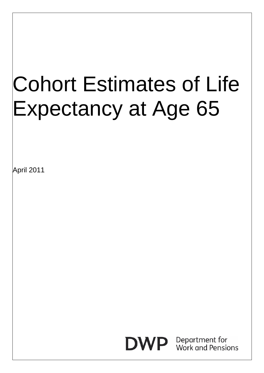# Cohort Estimates of Life Expectancy at Age 65

April 2011

## **DWP**

Department for Work and Pensions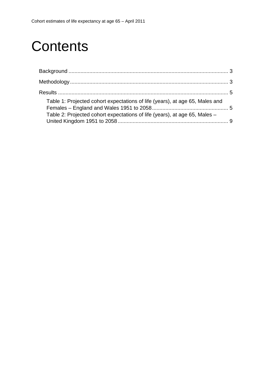## **Contents**

| Table 1: Projected cohort expectations of life (years), at age 65, Males and |  |
|------------------------------------------------------------------------------|--|
| Table 2: Projected cohort expectations of life (years), at age 65, Males –   |  |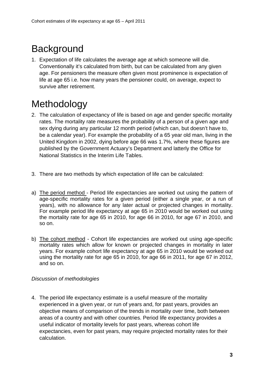## <span id="page-2-0"></span>**Background**

1. Expectation of life calculates the average age at which someone will die. Conventionally it's calculated from birth, but can be calculated from any given age. For pensioners the measure often given most prominence is expectation of life at age 65 i.e. how many years the pensioner could, on average, expect to survive after retirement.

## Methodology

- 2. The calculation of expectancy of life is based on age and gender specific mortality rates. The mortality rate measures the probability of a person of a given age and sex dying during any particular 12 month period (which can, but doesn't have to, be a calendar year). For example the probability of a 65 year old man, living in the United Kingdom in 2002, dying before age 66 was 1.7%, where these figures are published by the Government Actuary's Department and latterly the Office for National Statistics in the Interim Life Tables.
- 3. There are two methods by which expectation of life can be calculated:
- a) The period method Period life expectancies are worked out using the pattern of age-specific mortality rates for a given period (either a single year, or a run of years), with no allowance for any later actual or projected changes in mortality. For example period life expectancy at age 65 in 2010 would be worked out using the mortality rate for age 65 in 2010, for age 66 in 2010, for age 67 in 2010, and so on.
- b) The cohort method Cohort life expectancies are worked out using age-specific mortality rates which allow for known or projected changes in mortality in later years. For example cohort life expectancy at age 65 in 2010 would be worked out using the mortality rate for age 65 in 2010, for age 66 in 2011, for age 67 in 2012, and so on.

#### *Discussion of methodologies*

4. The period life expectancy estimate is a useful measure of the mortality experienced in a given year, or run of years and, for past years, provides an objective means of comparison of the trends in mortality over time, both between areas of a country and with other countries. Period life expectancy provides a useful indicator of mortality levels for past years, whereas cohort life expectancies, even for past years, may require projected mortality rates for their calculation.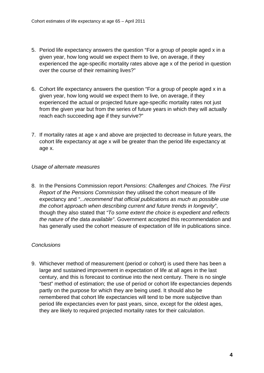- 5. Period life expectancy answers the question "For a group of people aged x in a given year, how long would we expect them to live, on average, if they experienced the age-specific mortality rates above age x of the period in question over the course of their remaining lives?"
- 6. Cohort life expectancy answers the question "For a group of people aged x in a given year, how long would we expect them to live, on average, if they experienced the actual or projected future age-specific mortality rates not just from the given year but from the series of future years in which they will actually reach each succeeding age if they survive?"
- 7. If mortality rates at age x and above are projected to decrease in future years, the cohort life expectancy at age x will be greater than the period life expectancy at age x.

#### *Usage of alternate measures*

8. In the Pensions Commission report *Pensions: Challenges and Choices. The First Report of the Pensions Commission* they utilised the cohort measure of life expectancy and *"...recommend that official publications as much as possible use the cohort approach when describing current and future trends in longevity"*, though they also stated that *"To some extent the choice is expedient and reflects the nature of the data available"*. Government accepted this recommendation and has generally used the cohort measure of expectation of life in publications since.

#### *Conclusions*

9. Whichever method of measurement (period or cohort) is used there has been a large and sustained improvement in expectation of life at all ages in the last century, and this is forecast to continue into the next century. There is no single "best" method of estimation; the use of period or cohort life expectancies depends partly on the purpose for which they are being used. It should also be remembered that cohort life expectancies will tend to be more subjective than period life expectancies even for past years, since, except for the oldest ages, they are likely to required projected mortality rates for their calculation.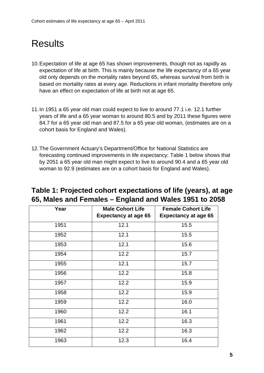### <span id="page-4-0"></span>**Results**

- 10. Expectation of life at age 65 has shown improvements, though not as rapidly as expectation of life at birth. This is mainly because the life expectancy of a 65 year old only depends on the mortality rates beyond 65, whereas survival from birth is based on mortality rates at every age. Reductions in infant mortality therefore only have an effect on expectation of life at birth not at age 65.
- 11. In 1951 a 65 year old man could expect to live to around 77.1 i.e. 12.1 further years of life and a 65 year woman to around 80.5 and by 2011 these figures were 84.7 for a 65 year old man and 87.5 for a 65 year old woman, (estimates are on a cohort basis for England and Wales).
- 12. The Government Actuary's Department/Office for National Statistics are forecasting continued improvements in life expectancy; Table 1 below shows that by 2051 a 65 year old man might expect to live to around 90.4 and a 65 year old woman to 92.9 (estimates are on a cohort basis for England and Wales).

| Table 1: Projected cohort expectations of life (years), at age |  |
|----------------------------------------------------------------|--|
| 65, Males and Females – England and Wales 1951 to 2058         |  |

| Year | <b>Male Cohort Life</b><br><b>Expectancy at age 65</b> | <b>Female Cohort Life</b><br><b>Expectancy at age 65</b> |
|------|--------------------------------------------------------|----------------------------------------------------------|
| 1951 | 12.1                                                   | 15.5                                                     |
| 1952 | 12.1                                                   | 15.5                                                     |
| 1953 | 12.1                                                   | 15.6                                                     |
| 1954 | 12.2                                                   | 15.7                                                     |
| 1955 | 12.1                                                   | 15.7                                                     |
| 1956 | 12.2                                                   | 15.8                                                     |
| 1957 | 12.2                                                   | 15.9                                                     |
| 1958 | 12.2                                                   | 15.9                                                     |
| 1959 | 12.2                                                   | 16.0                                                     |
| 1960 | 12.2                                                   | 16.1                                                     |
| 1961 | 12.2                                                   | 16.3                                                     |
| 1962 | 12.2                                                   | 16.3                                                     |
| 1963 | 12.3                                                   | 16.4                                                     |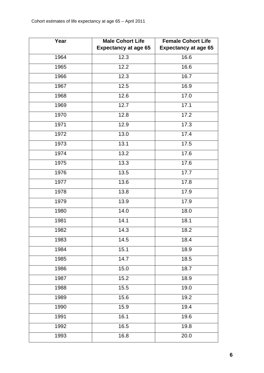| Year | <b>Male Cohort Life</b><br><b>Expectancy at age 65</b> | <b>Female Cohort Life</b><br><b>Expectancy at age 65</b> |
|------|--------------------------------------------------------|----------------------------------------------------------|
| 1964 | 12.3                                                   | 16.6                                                     |
| 1965 | 12.2                                                   | 16.6                                                     |
| 1966 | 12.3                                                   | 16.7                                                     |
| 1967 | 12.5                                                   | 16.9                                                     |
| 1968 | 12.6                                                   | 17.0                                                     |
| 1969 | 12.7                                                   | 17.1                                                     |
| 1970 | 12.8                                                   | 17.2                                                     |
| 1971 | 12.9                                                   | 17.3                                                     |
| 1972 | 13.0                                                   | 17.4                                                     |
| 1973 | 13.1                                                   | 17.5                                                     |
| 1974 | 13.2                                                   | 17.6                                                     |
| 1975 | 13.3                                                   | 17.6                                                     |
| 1976 | 13.5                                                   | 17.7                                                     |
| 1977 | 13.6                                                   | 17.8                                                     |
| 1978 | 13.8                                                   | 17.9                                                     |
| 1979 | 13.9                                                   | 17.9                                                     |
| 1980 | 14.0                                                   | 18.0                                                     |
| 1981 | 14.1                                                   | 18.1                                                     |
| 1982 | 14.3                                                   | 18.2                                                     |
| 1983 | 14.5                                                   | 18.4                                                     |
| 1984 | 15.1                                                   | 18.9                                                     |
| 1985 | 14.7                                                   | 18.5                                                     |
| 1986 | 15.0                                                   | 18.7                                                     |
| 1987 | 15.2                                                   | 18.9                                                     |
| 1988 | 15.5                                                   | 19.0                                                     |
| 1989 | 15.6                                                   | 19.2                                                     |
| 1990 | 15.9                                                   | 19.4                                                     |
| 1991 | 16.1                                                   | 19.6                                                     |
| 1992 | 16.5                                                   | 19.8                                                     |
| 1993 | 16.8                                                   | 20.0                                                     |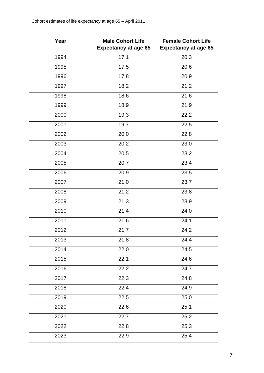| Year | <b>Male Cohort Life</b><br><b>Expectancy at age 65</b> | <b>Female Cohort Life</b><br><b>Expectancy at age 65</b> |  |
|------|--------------------------------------------------------|----------------------------------------------------------|--|
| 1994 | 17.1                                                   | 20.3                                                     |  |
| 1995 | 17.5                                                   | 20.6                                                     |  |
| 1996 | 17.8                                                   | 20.9                                                     |  |
| 1997 | 18.2                                                   | 21.2                                                     |  |
| 1998 | 18.6                                                   | 21.6                                                     |  |
| 1999 | 18.9                                                   | 21.9                                                     |  |
| 2000 | 19.3                                                   | 22.2                                                     |  |
| 2001 | 19.7                                                   | 22.5                                                     |  |
| 2002 | 20.0                                                   | 22.8                                                     |  |
| 2003 | 20.2                                                   | 23.0                                                     |  |
| 2004 | 20.5                                                   | 23.2                                                     |  |
| 2005 | 20.7                                                   | 23.4                                                     |  |
| 2006 | 20.9                                                   | 23.5                                                     |  |
| 2007 | 21.0                                                   | 23.7                                                     |  |
| 2008 | 21.2                                                   | 23.8                                                     |  |
| 2009 | 21.3                                                   | 23.9                                                     |  |
| 2010 | 21.4                                                   | 24.0                                                     |  |
| 2011 | 21.6                                                   | 24.1                                                     |  |
| 2012 | 21.7                                                   | 24.2                                                     |  |
| 2013 | 21.8                                                   | 24.4                                                     |  |
| 2014 | 22.0                                                   | 24.5                                                     |  |
| 2015 | 22.1                                                   | 24.6                                                     |  |
| 2016 | 22.2                                                   | 24.7                                                     |  |
| 2017 | 22.3                                                   | 24.8                                                     |  |
| 2018 | 22.4                                                   | 24.9                                                     |  |
| 2019 | 22.5                                                   | 25.0                                                     |  |
| 2020 | 22.6                                                   | 25.1                                                     |  |
| 2021 | 22.7                                                   | 25.2                                                     |  |
| 2022 | 22.8                                                   | 25.3                                                     |  |
| 2023 | 22.9<br>25.4                                           |                                                          |  |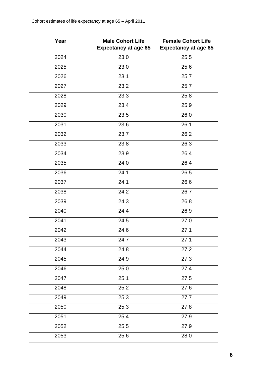| Year | <b>Male Cohort Life</b><br><b>Expectancy at age 65</b> | <b>Female Cohort Life</b><br><b>Expectancy at age 65</b> |  |
|------|--------------------------------------------------------|----------------------------------------------------------|--|
| 2024 | 23.0<br>25.5                                           |                                                          |  |
| 2025 | 23.0                                                   | 25.6                                                     |  |
| 2026 | 23.1                                                   | 25.7                                                     |  |
| 2027 | 23.2                                                   | 25.7                                                     |  |
| 2028 | 23.3                                                   | 25.8                                                     |  |
| 2029 | 23.4                                                   | 25.9                                                     |  |
| 2030 | 23.5                                                   | 26.0                                                     |  |
| 2031 | 23.6                                                   | 26.1                                                     |  |
| 2032 | 23.7                                                   | 26.2                                                     |  |
| 2033 | 23.8                                                   | 26.3                                                     |  |
| 2034 | 23.9                                                   | 26.4                                                     |  |
| 2035 | 24.0                                                   | 26.4                                                     |  |
| 2036 | 24.1                                                   | 26.5                                                     |  |
| 2037 | 24.1                                                   | 26.6                                                     |  |
| 2038 | 24.2                                                   | 26.7                                                     |  |
| 2039 | 24.3                                                   | 26.8                                                     |  |
| 2040 | 24.4                                                   | 26.9                                                     |  |
| 2041 | 24.5                                                   | 27.0                                                     |  |
| 2042 | 24.6                                                   | 27.1                                                     |  |
| 2043 | 24.7                                                   | 27.1                                                     |  |
| 2044 | 24.8                                                   | 27.2                                                     |  |
| 2045 | 24.9                                                   | 27.3                                                     |  |
| 2046 | 25.0                                                   | 27.4                                                     |  |
| 2047 | 25.1                                                   | 27.5                                                     |  |
| 2048 | 25.2                                                   | 27.6                                                     |  |
| 2049 | 25.3                                                   | 27.7                                                     |  |
| 2050 | 25.3                                                   | 27.8                                                     |  |
| 2051 | 25.4                                                   | 27.9                                                     |  |
| 2052 | 25.5                                                   | 27.9                                                     |  |
| 2053 | 28.0<br>25.6                                           |                                                          |  |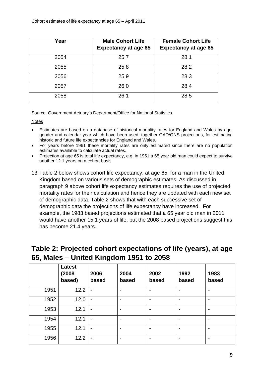<span id="page-8-0"></span>

| Year | <b>Male Cohort Life</b><br><b>Expectancy at age 65</b> | <b>Female Cohort Life</b><br><b>Expectancy at age 65</b> |
|------|--------------------------------------------------------|----------------------------------------------------------|
| 2054 | 25.7                                                   | 28.1                                                     |
| 2055 | 25.8                                                   | 28.2                                                     |
| 2056 | 25.9                                                   | 28.3                                                     |
| 2057 | 26.0                                                   | 28.4                                                     |
| 2058 | 26.1                                                   | 28.5                                                     |

Source: Government Actuary's Department/Office for National Statistics.

Notes

- Estimates are based on a database of historical mortality rates for England and Wales by age, gender and calendar year which have been used, together GAD/ONS projections, for estimating historic and future life expectancies for England and Wales.
- For years before 1961 these mortality rates are only estimated since there are no population estimates available to calculate actual rates.
- Projection at age 65 is total life expectancy, e.g. in 1951 a 65 year old man could expect to survive another 12.1 years on a cohort basis
- 13. Table 2 below shows cohort life expectancy, at age 65, for a man in the United Kingdom based on various sets of demographic estimates. As discussed in paragraph 9 above cohort life expectancy estimates requires the use of projected mortality rates for their calculation and hence they are updated with each new set of demographic data. Table 2 shows that with each successive set of demographic data the projections of life expectancy have increased. For example, the 1983 based projections estimated that a 65 year old man in 2011 would have another 15.1 years of life, but the 2008 based projections suggest this has become 21.4 years.

#### **Table 2: Projected cohort expectations of life (years), at age 65, Males – United Kingdom 1951 to 2058**

|      | <b>Latest</b><br>(2008<br>based) | 2006<br>based                | 2004<br>based            | 2002<br>based            | 1992<br>based            | 1983<br>based |
|------|----------------------------------|------------------------------|--------------------------|--------------------------|--------------------------|---------------|
| 1951 | 12.2                             | $\blacksquare$               | -                        | $\overline{\phantom{0}}$ | $\blacksquare$           |               |
| 1952 | 12.0                             | $\blacksquare$               | ۰                        |                          | $\blacksquare$           |               |
| 1953 | 12.1                             | $\blacksquare$               |                          |                          | $\blacksquare$           |               |
| 1954 | 12.1                             | $\qquad \qquad \blacksquare$ | -                        |                          | $\overline{\phantom{a}}$ |               |
| 1955 | 12.1                             | $\blacksquare$               | $\overline{\phantom{0}}$ | $\overline{\phantom{0}}$ | $\blacksquare$           |               |
| 1956 | 12.2                             | $\blacksquare$               | $\overline{\phantom{0}}$ |                          | $\blacksquare$           |               |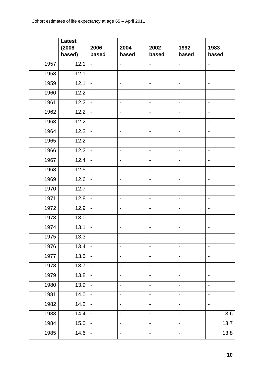|      | <b>Latest</b><br>(2008)<br>based) | 2006<br>based            | 2004<br>based                | 2002<br>based            | 1992<br>based                | 1983<br>based                |
|------|-----------------------------------|--------------------------|------------------------------|--------------------------|------------------------------|------------------------------|
| 1957 | 12.1                              | $\blacksquare$           | $\overline{\phantom{0}}$     | $\overline{\phantom{a}}$ | ÷,                           | $\overline{\phantom{a}}$     |
| 1958 | 12.1                              | $\overline{\phantom{a}}$ | $\qquad \qquad \blacksquare$ | $\overline{\phantom{a}}$ | $\blacksquare$               | $\blacksquare$               |
| 1959 | 12.1                              | $\overline{\phantom{a}}$ | $\qquad \qquad \blacksquare$ | $\overline{\phantom{a}}$ | $\overline{\phantom{0}}$     | $\overline{\phantom{0}}$     |
| 1960 | 12.2                              | $\blacksquare$           | $\overline{\phantom{0}}$     | $\overline{\phantom{0}}$ | $\blacksquare$               | $\overline{\phantom{0}}$     |
| 1961 | 12.2                              | $\overline{\phantom{a}}$ | $\qquad \qquad \blacksquare$ | $\overline{\phantom{a}}$ | $\blacksquare$               | $\qquad \qquad \blacksquare$ |
| 1962 | 12.2                              | $\overline{\phantom{a}}$ | $\qquad \qquad \blacksquare$ | $\blacksquare$           | $\overline{\phantom{a}}$     | $\overline{\phantom{0}}$     |
| 1963 | 12.2                              | $\overline{\phantom{a}}$ | $\qquad \qquad -$            | $\overline{\phantom{a}}$ | $\blacksquare$               | $\overline{\phantom{a}}$     |
| 1964 | 12.2                              | $\overline{\phantom{a}}$ | $\qquad \qquad \blacksquare$ | $\overline{\phantom{a}}$ | $\overline{\phantom{a}}$     | $\overline{\phantom{0}}$     |
| 1965 | 12.2                              | $\blacksquare$           | -                            |                          | $\blacksquare$               | $\qquad \qquad \blacksquare$ |
| 1966 | 12.2                              | $\overline{\phantom{a}}$ | -                            | $\overline{\phantom{a}}$ | $\overline{\phantom{a}}$     | $\overline{\phantom{0}}$     |
| 1967 | 12.4                              | $\overline{\phantom{a}}$ | $\qquad \qquad \blacksquare$ | $\overline{\phantom{a}}$ | $\blacksquare$               | $\overline{\phantom{a}}$     |
| 1968 | 12.5                              | ÷,                       | $\overline{\phantom{0}}$     | $\overline{\phantom{a}}$ | $\blacksquare$               | $\overline{\phantom{0}}$     |
| 1969 | 12.6                              | $\overline{\phantom{a}}$ | $\qquad \qquad \blacksquare$ | $\blacksquare$           | $\qquad \qquad \blacksquare$ | $\overline{\phantom{a}}$     |
| 1970 | 12.7                              | $\blacksquare$           | -                            |                          | $\blacksquare$               | $\qquad \qquad \blacksquare$ |
| 1971 | 12.8                              | $\overline{\phantom{a}}$ | $\overline{\phantom{0}}$     |                          | $\overline{\phantom{a}}$     | $\blacksquare$               |
| 1972 | 12.9                              | $\overline{\phantom{a}}$ | $\qquad \qquad \blacksquare$ | $\overline{\phantom{a}}$ | $\blacksquare$               | $\blacksquare$               |
| 1973 | 13.0                              | $\blacksquare$           | $\overline{\phantom{0}}$     | $\blacksquare$           | $\blacksquare$               | $\blacksquare$               |
| 1974 | 13.1                              | $\blacksquare$           | $\qquad \qquad \blacksquare$ | $\blacksquare$           | $\overline{\phantom{a}}$     | $\blacksquare$               |
| 1975 | 13.3                              | $\blacksquare$           | -                            | $\blacksquare$           | -                            | $\blacksquare$               |
| 1976 | 13.4                              | $\blacksquare$           | $\qquad \qquad \blacksquare$ | $\blacksquare$           | $\blacksquare$               | $\overline{\phantom{a}}$     |
| 1977 | 13.5                              | $\overline{\phantom{a}}$ | -                            | $\overline{\phantom{0}}$ | $\overline{\phantom{0}}$     | $\overline{\phantom{0}}$     |
| 1978 | 13.7                              | $\blacksquare$           | -                            | $\overline{\phantom{a}}$ | $\blacksquare$               | $\overline{\phantom{0}}$     |
| 1979 | 13.8                              | $\blacksquare$           | $\overline{\phantom{0}}$     | $\overline{\phantom{a}}$ | $\overline{\phantom{0}}$     | $\overline{\phantom{0}}$     |
| 1980 | 13.9                              | $\overline{\phantom{a}}$ | $\qquad \qquad \blacksquare$ | $\overline{\phantom{a}}$ | $\blacksquare$               | $\overline{\phantom{0}}$     |
| 1981 | 14.0                              | $\blacksquare$           | $\qquad \qquad \blacksquare$ | $\blacksquare$           | $\blacksquare$               | $\overline{\phantom{a}}$     |
| 1982 | 14.2                              | $\overline{\phantom{a}}$ | $\qquad \qquad \blacksquare$ | $\overline{\phantom{a}}$ | $\overline{\phantom{0}}$     | $\overline{\phantom{a}}$     |
| 1983 | 14.4                              | $\overline{\phantom{a}}$ | -                            | $\overline{\phantom{0}}$ | $\overline{\phantom{a}}$     | 13.6                         |
| 1984 | 15.0                              | $\blacksquare$           | $\qquad \qquad \blacksquare$ | $\overline{\phantom{a}}$ | $\overline{\phantom{0}}$     | 13.7                         |
| 1985 | 14.6                              | $\blacksquare$           | $\qquad \qquad \blacksquare$ | $\blacksquare$           | $\overline{\phantom{a}}$     | 13.8                         |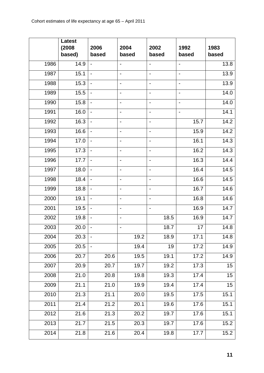|                  | <b>Latest</b><br>(2008)<br>based) | 2006<br>based                | 2004<br>based                | 2002<br>based            | 1992<br>based                | 1983<br>based |
|------------------|-----------------------------------|------------------------------|------------------------------|--------------------------|------------------------------|---------------|
| 1986             | 14.9                              | $\frac{1}{2}$                | $\overline{\phantom{0}}$     | $\blacksquare$           | $\qquad \qquad \blacksquare$ | 13.8          |
| 1987             | 15.1                              | $\overline{a}$               | $\qquad \qquad \blacksquare$ | $\overline{\phantom{a}}$ | $\blacksquare$               | 13.9          |
| 1988             | 15.3                              | $\overline{\phantom{a}}$     | $\overline{a}$               | $\overline{\phantom{a}}$ | $\qquad \qquad \blacksquare$ | 13.9          |
| 1989             | 15.5                              | $\blacksquare$               | -                            |                          | $\overline{\phantom{0}}$     | 14.0          |
| 1990             | 15.8                              | $\blacksquare$               | $\overline{\phantom{0}}$     | $\overline{\phantom{a}}$ | $\overline{\phantom{0}}$     | 14.0          |
| 1991             | 16.0                              | $\blacksquare$               | $\qquad \qquad \blacksquare$ | $\overline{\phantom{a}}$ | $\overline{\phantom{0}}$     | 14.1          |
| 1992             | 16.3                              | $\overline{a}$               | $\overline{\phantom{0}}$     | $\overline{\phantom{0}}$ | 15.7                         | 14.2          |
| 1993             | 16.6                              | $\blacksquare$               | $\blacksquare$               | $\blacksquare$           | 15.9                         | 14.2          |
| 1994             | 17.0                              | $\overline{\phantom{a}}$     | $\overline{a}$               |                          | 16.1                         | 14.3          |
| 1995             | 17.3                              | $\overline{\phantom{a}}$     | $\overline{\phantom{0}}$     | $\overline{\phantom{a}}$ | 16.2                         | 14.3          |
| 1996             | 17.7                              | $\overline{\phantom{a}}$     | $\overline{\phantom{0}}$     | $\overline{\phantom{0}}$ | 16.3                         | 14.4          |
| 1997             | 18.0                              | $\blacksquare$               | $\overline{\phantom{0}}$     | $\overline{\phantom{a}}$ | 16.4                         | 14.5          |
| 1998             | 18.4                              | $\blacksquare$               | $\blacksquare$               | $\overline{\phantom{a}}$ | 16.6                         | 14.5          |
| 1999             | 18.8                              | $\qquad \qquad \blacksquare$ | $\overline{a}$               |                          | 16.7                         | 14.6          |
| 2000             | 19.1                              | $\blacksquare$               | $\overline{\phantom{0}}$     | $\overline{\phantom{a}}$ | 16.8                         | 14.6          |
| 2001             | 19.5                              | $\blacksquare$               | $\overline{\phantom{a}}$     | $\overline{\phantom{a}}$ | 16.9                         | 14.7          |
| $\frac{1}{2002}$ | 19.8                              | $\blacksquare$               | $\blacksquare$               | 18.5                     | 16.9                         | 14.7          |
| 2003             | 20.0                              | $\qquad \qquad \blacksquare$ | $\blacksquare$               | 18.7                     | 17                           | 14.8          |
| 2004             | 20.3                              |                              | 19.2                         | 18.9                     | 17.1                         | 14.8          |
| 2005             | 20.5                              |                              | 19.4                         | 19                       | 17.2                         | 14.9          |
| 2006             | 20.7                              | 20.6                         | 19.5                         | 19.1                     | 17.2                         | 14.9          |
| 2007             | 20.9                              | 20.7                         | 19.7                         | 19.2                     | 17.3                         | 15            |
| 2008             | 21.0                              | 20.8                         | 19.8                         | 19.3                     | 17.4                         | 15            |
| 2009             | 21.1                              | 21.0                         | 19.9                         | 19.4                     | 17.4                         | 15            |
| 2010             | 21.3                              | 21.1                         | 20.0                         | 19.5                     | 17.5                         | 15.1          |
| 2011             | 21.4                              | 21.2                         | 20.1                         | 19.6                     | 17.6                         | 15.1          |
| 2012             | 21.6                              | 21.3                         | 20.2                         | 19.7                     | 17.6                         | 15.1          |
| 2013             | 21.7                              | 21.5                         | 20.3                         | 19.7                     | 17.6                         | 15.2          |
| 2014             | 21.8                              | 21.6                         | 20.4                         | 19.8                     | 17.7                         | 15.2          |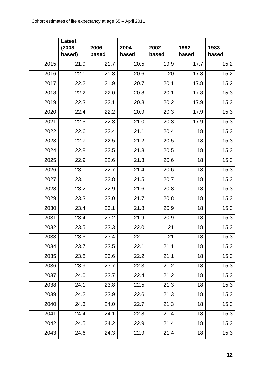|      | <b>Latest</b><br>(2008)<br>based) | 2006<br>based | 2004<br>based | 2002<br>based | 1992<br>based | 1983<br>based |
|------|-----------------------------------|---------------|---------------|---------------|---------------|---------------|
| 2015 | 21.9                              | 21.7          | 20.5          | 19.9          | 17.7          | 15.2          |
| 2016 | 22.1                              | 21.8          | 20.6          | 20            | 17.8          | 15.2          |
| 2017 | 22.2                              | 21.9          | 20.7          | 20.1          | 17.8          | 15.2          |
| 2018 | 22.2                              | 22.0          | 20.8          | 20.1          | 17.8          | 15.3          |
| 2019 | 22.3                              | 22.1          | 20.8          | 20.2          | 17.9          | 15.3          |
| 2020 | 22.4                              | 22.2          | 20.9          | 20.3          | 17.9          | 15.3          |
| 2021 | 22.5                              | 22.3          | 21.0          | 20.3          | 17.9          | 15.3          |
| 2022 | 22.6                              | 22.4          | 21.1          | 20.4          | 18            | 15.3          |
| 2023 | 22.7                              | 22.5          | 21.2          | 20.5          | 18            | 15.3          |
| 2024 | 22.8                              | 22.5          | 21.3          | 20.5          | 18            | 15.3          |
| 2025 | 22.9                              | 22.6          | 21.3          | 20.6          | 18            | 15.3          |
| 2026 | 23.0                              | 22.7          | 21.4          | 20.6          | 18            | 15.3          |
| 2027 | 23.1                              | 22.8          | 21.5          | 20.7          | 18            | 15.3          |
| 2028 | 23.2                              | 22.9          | 21.6          | 20.8          | 18            | 15.3          |
| 2029 | 23.3                              | 23.0          | 21.7          | 20.8          | 18            | 15.3          |
| 2030 | 23.4                              | 23.1          | 21.8          | 20.9          | 18            | 15.3          |
| 2031 | 23.4                              | 23.2          | 21.9          | 20.9          | 18            | 15.3          |
| 2032 | 23.5                              | 23.3          | 22.0          | 21            | 18            | 15.3          |
| 2033 | 23.6                              | 23.4          | 22.1          | 21            | 18            | 15.3          |
| 2034 | 23.7                              | 23.5          | 22.1          | 21.1          | 18            | 15.3          |
| 2035 | 23.8                              | 23.6          | 22.2          | 21.1          | 18            | 15.3          |
| 2036 | 23.9                              | 23.7          | 22.3          | 21.2          | 18            | 15.3          |
| 2037 | 24.0                              | 23.7          | 22.4          | 21.2          | 18            | 15.3          |
| 2038 | 24.1                              | 23.8          | 22.5          | 21.3          | 18            | 15.3          |
| 2039 | 24.2                              | 23.9          | 22.6          | 21.3          | 18            | 15.3          |
| 2040 | 24.3                              | 24.0          | 22.7          | 21.3          | 18            | 15.3          |
| 2041 | 24.4                              | 24.1          | 22.8          | 21.4          | 18            | 15.3          |
| 2042 | 24.5                              | 24.2          | 22.9          | 21.4          | 18            | 15.3          |
| 2043 | 24.6                              | 24.3          | 22.9          | 21.4          | 18            | 15.3          |